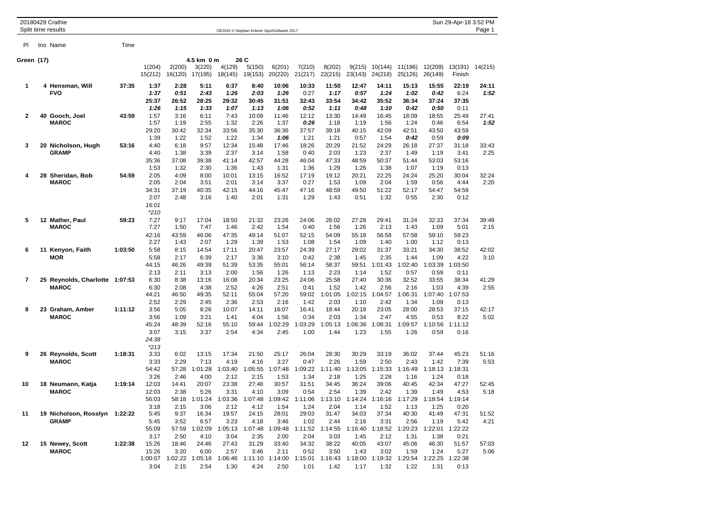|            | 20180429 Crathie<br>Split time results         |         |                                                          |                                                          |                                        |                                          |                                          | OE2010 © Stephan Krämer SportSoftware 2017 |                                          |                                                                              |                                          |                                                  |                                          |                                                  | Sun 29-Apr-18 3:52 PM                    | Page 1        |
|------------|------------------------------------------------|---------|----------------------------------------------------------|----------------------------------------------------------|----------------------------------------|------------------------------------------|------------------------------------------|--------------------------------------------|------------------------------------------|------------------------------------------------------------------------------|------------------------------------------|--------------------------------------------------|------------------------------------------|--------------------------------------------------|------------------------------------------|---------------|
| ΡI         | tno Name                                       | Time    |                                                          |                                                          |                                        |                                          |                                          |                                            |                                          |                                                                              |                                          |                                                  |                                          |                                                  |                                          |               |
| Green (17) |                                                |         | 1(204)<br>15(212)                                        | 2(200)<br>16(120)                                        | 4.5 km 0 m<br>3(220)<br>17(195)        | 4(129)<br>18(145)                        | 26 C<br>5(150)<br>19(153)                | 6(201)<br>20(220)                          | 7(210)<br>21(217)                        | 8(202)<br>22(215)                                                            | 9(215)<br>23(143)                        | 10(144)<br>24(218)                               | 11(196)<br>25(126)                       | 12(209)<br>26(149)                               | 13(191)<br>Finish                        | 14(215)       |
| 1          | 4 Hensman, Will<br>FVO                         | 37:35   | 1:37<br>1:37<br>25:37<br>1:26                            | 2:28<br>0:51<br>26:52<br>1:15                            | 5:11<br>2:43<br>28:25<br>1:33          | 6:37<br>1:26<br>29:32<br>1:07            | 8:40<br>2:03<br>30:45<br>1:13            | 10:06<br>1:26<br>31:51<br>1:06             | 10:33<br>0:27<br>32:43<br>0:52           | 11:50<br>1:17<br>33:54<br>1:11                                               | 12:47<br>0:57<br>34:42<br>0:48           | 14:11<br>1:24<br>35:52<br>1:10                   | 15:13<br>1:02<br>36:34<br>0:42           | 15:55<br>0:42<br>37:24<br>0:50                   | 22:19<br>6:24<br>37:35<br>0:11           | 24:11<br>1:52 |
| 2          | 40  Gooch, Joel<br><b>MAROC</b>                | 43:59   | 1:57<br>1:57<br>29:20<br>1:39                            | 3:16<br>1:19<br>30:42<br>1:22                            | 6:11<br>2:55<br>32:34<br>1:52          | 7:43<br>1:32<br>33:56<br>1:22            | 10:09<br>2:26<br>35:30<br>1:34           | 11:46<br>1:37<br>36:36<br>1:06             | 12:12<br>0:26<br>37:57<br>1:21           | 13:30<br>1:18<br>39:18<br>1:21                                               | 14:49<br>1:19<br>40:15<br>0:57           | 16:45<br>1:56<br>42:09<br>1:54                   | 18:09<br>1:24<br>42:51<br>0:42           | 18:55<br>0:46<br>43:50<br>0:59                   | 25:49<br>6:54<br>43:59<br>0:09           | 27:41<br>1:52 |
| 3          | 20 Nicholson, Hugh<br><b>GRAMP</b>             | 53:16   | 4:40<br>4:40<br>35:36<br>1:53                            | 6:18<br>1:38<br>37:08<br>1:32                            | 9:57<br>3:39<br>39:38<br>2:30          | 12:34<br>2:37<br>41:14<br>1:36           | 15:48<br>3:14<br>42:57<br>1:43           | 17:46<br>1:58<br>44:28<br>1:31             | 18:26<br>0:40<br>46:04<br>1:36           | 20:29<br>2:03<br>47:33<br>1:29                                               | 21:52<br>1:23<br>48:59<br>1:26           | 24:29<br>2:37<br>50:37<br>1:38                   | 26:18<br>1:49<br>51:44<br>1:07           | 27:37<br>1:19<br>53:03<br>1:19                   | 31:18<br>3:41<br>53:16<br>0:13           | 33:43<br>2:25 |
| 4          | 28 Sheridan, Bob<br><b>MAROC</b>               | 54:59   | 2:05<br>2:05<br>34:31<br>2:07<br>16:01                   | 4:09<br>2:04<br>37:19<br>2:48                            | 8:00<br>3:51<br>40:35<br>3:16          | 10:01<br>2:01<br>42:15<br>1:40           | 13:15<br>3:14<br>44:16<br>2:01           | 16:52<br>3:37<br>45:47<br>1:31             | 17:19<br>0:27<br>47:16<br>1:29           | 19:12<br>1:53<br>48:59<br>1:43                                               | 20:21<br>1:09<br>49:50<br>0:51           | 22:25<br>2:04<br>51:22<br>1:32                   | 24:24<br>1:59<br>52:17<br>0:55           | 25:20<br>0:56<br>54:47<br>2:30                   | 30:04<br>4:44<br>54:59<br>0:12           | 32:24<br>2:20 |
| 5          | 12 Mather, Paul<br><b>MAROC</b>                | 59:23   | $*210$<br>7:27<br>7:27<br>42:16<br>2:27                  | 9:17<br>1:50<br>43:59<br>1:43                            | 17:04<br>7:47<br>46:06<br>2:07         | 18:50<br>1:46<br>47:35<br>1:29           | 21:32<br>2:42<br>49:14<br>1:39           | 23:26<br>1:54<br>51:07<br>1:53             | 24:06<br>0:40<br>52:15<br>1:08           | 26:02<br>1:56<br>54:09<br>1:54                                               | 27:28<br>1:26<br>55:18<br>1:09           | 29:41<br>2:13<br>56:58<br>1:40                   | 31:24<br>1:43<br>57:58<br>1:00           | 32:33<br>1:09<br>59:10<br>1:12                   | 37:34<br>5:01<br>59:23<br>0:13           | 39:49<br>2:15 |
| 6          | 11 Kenyon, Faith<br><b>MOR</b>                 | 1:03:50 | 5:58<br>5:58<br>44:15                                    | 8:15<br>2:17<br>46:26                                    | 14:54<br>6:39<br>49:39                 | 17:11<br>2:17<br>51:39                   | 20:47<br>3:36<br>53:35                   | 23:57<br>3:10<br>55:01                     | 24:39<br>0:42<br>56:14                   | 27:17<br>2:38<br>58:37                                                       | 29:02<br>1:45<br>59:51                   | 31:37<br>2:35<br>1:01:43                         | 33:21<br>1:44<br>1:02:40                 | 34:30<br>1:09<br>1:03:39                         | 38:52<br>4:22<br>1:03:50                 | 42:02<br>3:10 |
| 7          | 25 Reynolds, Charlotte 1:07:53<br><b>MAROC</b> |         | 2:13<br>6:30<br>6:30<br>44:21                            | 2:11<br>8:38<br>2:08<br>46:50                            | 3:13<br>13:16<br>4:38<br>49:35         | 2:00<br>16:08<br>2:52<br>52:11           | 1:56<br>20:34<br>4:26<br>55:04           | 1:26<br>23:25<br>2:51<br>57:20             | 1:13<br>24:06<br>0:41<br>59:02           | 2:23<br>25:58<br>1:52<br>1:01:05                                             | 1:14<br>27:40<br>1:42<br>1:02:15         | 1:52<br>30:36<br>2:56<br>1:04:57                 | 0:57<br>32:52<br>2:16<br>1:06:31         | 0:59<br>33:55<br>1:03<br>1:07:40                 | 0:11<br>38:34<br>4:39<br>1:07:53         | 41:29<br>2:55 |
| 8          | 23 Graham, Amber<br><b>MAROC</b>               | 1:11:12 | 2:52<br>3:56<br>3:56<br>45:24<br>3:07<br>24:38<br>$*213$ | 2:29<br>5:05<br>1:09<br>48:39<br>3:15                    | 2:45<br>8:26<br>3:21<br>52:16<br>3:37  | 2:36<br>10:07<br>1:41<br>55:10<br>2:54   | 2:53<br>14:11<br>4:04<br>59:44<br>4:34   | 2:16<br>16:07<br>1:56<br>1:02:29<br>2:45   | 1:42<br>16:41<br>0:34<br>1:03:29<br>1:00 | 2:03<br>18:44<br>2:03<br>1:05:13<br>1:44                                     | 1:10<br>20:18<br>1:34<br>1:06:36<br>1:23 | 2:42<br>23:05<br>2:47<br>1:08:31<br>1:55         | 1:34<br>28:00<br>4:55<br>1:09:57<br>1:26 | 1:09<br>28:53<br>0:53<br>1:10:56<br>0:59         | 0:13<br>37:15<br>8:22<br>1:11:12<br>0:16 | 42:17<br>5:02 |
| 9          | 26 Reynolds, Scott<br><b>MAROC</b>             | 1:18:31 | 3:33<br>3:33<br>54:42                                    | 6:02<br>2:29<br>57:28                                    | 13:15<br>7:13<br>1:01:28               | 17:34<br>4:19<br>1:03:40                 | 21:50<br>4:16<br>1:05:55                 | 25:17<br>3:27<br>1:07:48                   | 26:04<br>0:47<br>1:09:22                 | 28:30<br>2:26<br>1:11:40                                                     | 30:29<br>1:59<br>1:13:05                 | 33:19<br>2:50<br>1:15:33                         | 36:02<br>2:43<br>1:16:49                 | 37:44<br>1:42<br>1:18:13                         | 45:23<br>7:39<br>1:18:31                 | 51:16<br>5:53 |
| 10         | 18 Neumann, Katja<br><b>MAROC</b>              | 1:19:14 | 3:26<br>12:03<br>12:03<br>56:03                          | 2:46<br>14:41<br>2:38<br>58:18                           | 4:00<br>20:07<br>5:26<br>1:01:24       | 2:12<br>23:38<br>3:31<br>1:03:36         | 2:15<br>27:48<br>4:10<br>1:07:48         | 1:53<br>30:57<br>3:09<br>1:09:42           | 1:34<br>31:51<br>0:54<br>1:11:06         | 2:18<br>34:45<br>2:54<br>1:13:10                                             | 1:25<br>36:24<br>1:39<br>1:14:24         | 2:28<br>39:06<br>2:42<br>1:16:16                 | 1:16<br>40:45<br>1:39<br>1:17:29         | 1:24<br>42:34<br>1:49<br>1:18:54                 | 0:18<br>47:27<br>4:53<br>1:19:14         | 52:45<br>5:18 |
| 11         | 19 Nicholson, Rosslyn 1:22:22<br><b>GRAMP</b>  |         | 3:18<br>5:45<br>5:45<br>55:09                            | 2:15<br>9:37<br>3:52                                     | 3:06<br>16:34<br>6:57<br>57:59 1:02:09 | 2:12<br>19:57<br>3:23<br>1:05:13         | 4:12<br>24:15<br>4:18<br>1:07:48         | 1:54<br>28:01<br>3:46<br>1:09:48           | 1:24<br>29:03<br>1:02                    | 2:04<br>31:47<br>2:44<br>1:11:52 1:14:55                                     | 1:14<br>34:03<br>2:16                    | 1:52<br>37:34<br>3:31<br>1:16:40 1:18:52 1:20:23 | 1:13<br>40:30<br>2:56                    | 1:25<br>41:49<br>1:19<br>1:22:01                 | 0:20<br>47:31<br>5:42<br>1:22:22         | 51:52<br>4:21 |
| 12         | 15 Newey, Scott<br><b>MAROC</b>                | 1:22:38 | 3:17<br>15:26<br>15:26<br>3:04                           | 2:50<br>18:46<br>3:20<br>1:00:07 1:02:22 1:05:16<br>2:15 | 4:10<br>24:46<br>6:00<br>2:54          | 3:04<br>27:43<br>2:57<br>1:06:46<br>1:30 | 2:35<br>31:29<br>3:46<br>1:11:10<br>4:24 | 2:00<br>33:40<br>2:11<br>1:14:00<br>2:50   | 2:04<br>34:32<br>0:52<br>1:01            | 3:03<br>38:22<br>3:50<br>1:15:01  1:16:43  1:18:00  1:19:32  1:20:54<br>1:42 | 1:45<br>40:05<br>1:43<br>1:17            | 2:12<br>43:07<br>3:02<br>1:32                    | 1:31<br>45:06<br>1:59<br>1:22            | 1:38<br>46:30<br>1:24<br>1:22:25 1:22:38<br>1:31 | 0:21<br>51:57<br>5:27<br>0:13            | 57:03<br>5:06 |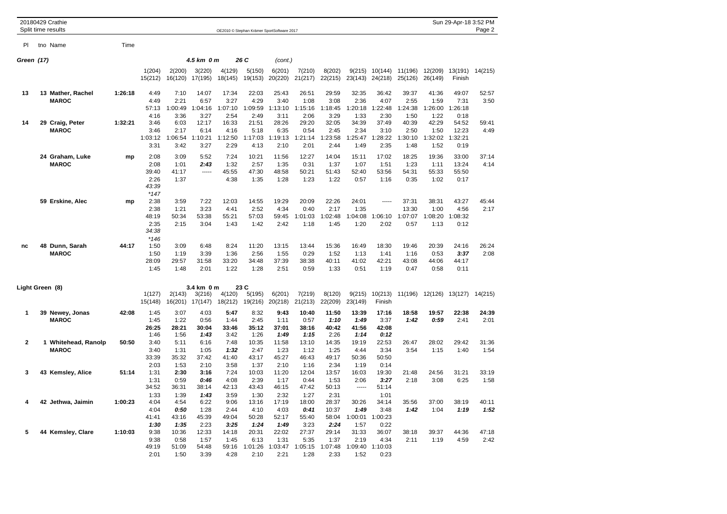|                 | 20180429 Crathie<br>Split time results |         |                                                  |                                         |                                          |                                          |                                          | OE2010 © Stephan Krämer SportSoftware 2017 |                                          |                                          |                                          |                                          |                                          |                                          | Sun 29-Apr-18 3:52 PM                     | Page 2        |
|-----------------|----------------------------------------|---------|--------------------------------------------------|-----------------------------------------|------------------------------------------|------------------------------------------|------------------------------------------|--------------------------------------------|------------------------------------------|------------------------------------------|------------------------------------------|------------------------------------------|------------------------------------------|------------------------------------------|-------------------------------------------|---------------|
| PI              | tno Name                               | Time    |                                                  |                                         |                                          |                                          |                                          |                                            |                                          |                                          |                                          |                                          |                                          |                                          |                                           |               |
| Green (17)      |                                        |         |                                                  |                                         | 4.5 km 0 m                               |                                          | 26 C                                     | (cont.)                                    |                                          |                                          |                                          |                                          |                                          |                                          |                                           |               |
|                 |                                        |         | 1(204)<br>15(212)                                | 2(200)<br>16(120)                       | 3(220)<br>17(195)                        | 4(129)<br>18(145)                        | 5(150)<br>19(153)                        | 6(201)<br>20(220)                          | 7(210)<br>21(217)                        | 8(202)<br>22(215)                        | 9(215)<br>23(143)                        | 10(144)<br>24(218)                       | 11(196)<br>25(126)                       | 12(209)<br>26(149)                       | 13(191)<br>Finish                         | 14(215)       |
| 13              | 13 Mather, Rachel<br><b>MAROC</b>      | 1:26:18 | 4:49<br>4:49<br>57:13                            | 7:10<br>2:21<br>1:00:49                 | 14:07<br>6:57<br>1:04:16                 | 17:34<br>3:27<br>1:07:10                 | 22:03<br>4:29<br>1:09:59                 | 25:43<br>3:40<br>1:13:10                   | 26:51<br>1:08<br>1:15:16                 | 29:59<br>3:08<br>1:18:45                 | 32:35<br>2:36<br>1:20:18                 | 36:42<br>4:07<br>1:22:48                 | 39:37<br>2:55<br>1:24:38                 | 41:36<br>1:59<br>1:26:00                 | 49:07<br>7:31<br>1:26:18                  | 52:57<br>3:50 |
| 14              | 29 Craig, Peter<br><b>MAROC</b>        | 1:32:21 | 4:16<br>3:46<br>3:46<br>1:03:12<br>3:31          | 3:36<br>6:03<br>2:17<br>1:06:54<br>3:42 | 3:27<br>12:17<br>6:14<br>1:10:21<br>3:27 | 2:54<br>16:33<br>4:16<br>1:12:50<br>2:29 | 2:49<br>21:51<br>5:18<br>1:17:03<br>4:13 | 3:11<br>28:26<br>6:35<br>1:19:13<br>2:10   | 2:06<br>29:20<br>0:54<br>1:21:14<br>2:01 | 3:29<br>32:05<br>2:45<br>1:23:58<br>2:44 | 1:33<br>34:39<br>2:34<br>1:25:47<br>1:49 | 2:30<br>37:49<br>3:10<br>1:28:22<br>2:35 | 1:50<br>40:39<br>2:50<br>1:30:10<br>1:48 | 1:22<br>42:29<br>1:50<br>1:32:02<br>1:52 | 0:18<br>54:52<br>12:23<br>1:32:21<br>0:19 | 59:41<br>4:49 |
|                 | 24 Graham, Luke<br><b>MAROC</b>        | mp      | 2:08<br>2:08<br>39:40<br>2:26<br>43:39           | 3:09<br>1:01<br>41:17<br>1:37           | 5:52<br>2:43<br>-----                    | 7:24<br>1:32<br>45:55<br>4:38            | 10:21<br>2:57<br>47:30<br>1:35           | 11:56<br>1:35<br>48:58<br>1:28             | 12:27<br>0:31<br>50:21<br>1:23           | 14:04<br>1:37<br>51:43<br>1:22           | 15:11<br>1:07<br>52:40<br>0:57           | 17:02<br>1:51<br>53:56<br>1:16           | 18:25<br>1:23<br>54:31<br>0:35           | 19:36<br>1:11<br>55:33<br>1:02           | 33:00<br>13:24<br>55:50<br>0:17           | 37:14<br>4:14 |
|                 | 59 Erskine, Alec                       | mp      | $*147$<br>2:38<br>2:38<br>48:19<br>2:35<br>34:38 | 3:59<br>1:21<br>50:34<br>2:15           | 7:22<br>3:23<br>53:38<br>3:04            | 12:03<br>4:41<br>55:21<br>1:43           | 14:55<br>2:52<br>57:03<br>1:42           | 19:29<br>4:34<br>59:45<br>2:42             | 20:09<br>0:40<br>1:01:03<br>1:18         | 22:26<br>2:17<br>1:02:48<br>1:45         | 24:01<br>1:35<br>1:04:08<br>1:20         | 1:06:10<br>2:02                          | 37:31<br>13:30<br>1:07:07<br>0:57        | 38:31<br>1:00<br>1:08:20<br>1:13         | 43:27<br>4:56<br>1:08:32<br>0:12          | 45:44<br>2:17 |
| nc              | 48 Dunn, Sarah<br><b>MAROC</b>         | 44:17   | $*146$<br>1:50<br>1:50<br>28:09<br>1:45          | 3:09<br>1:19<br>29:57<br>1:48           | 6:48<br>3:39<br>31:58<br>2:01            | 8:24<br>1:36<br>33:20<br>1:22            | 11:20<br>2:56<br>34:48<br>1:28           | 13:15<br>1:55<br>37:39<br>2:51             | 13:44<br>0:29<br>38:38<br>0:59           | 15:36<br>1:52<br>40:11<br>1:33           | 16:49<br>1:13<br>41:02<br>0:51           | 18:30<br>1:41<br>42:21<br>1:19           | 19:46<br>1:16<br>43:08<br>0:47           | 20:39<br>0:53<br>44:06<br>0:58           | 24:16<br>3:37<br>44:17<br>0:11            | 26:24<br>2:08 |
| Light Green (8) |                                        |         | 1(127)                                           | 2(143)                                  | 3.4 km 0 m<br>3(216)                     | 4(120)                                   | 23 C<br>5(195)                           | 6(201)                                     | 7(219)                                   | 8(120)                                   | 9(215)                                   | 10(213)                                  | 11(196)                                  | 12(126)                                  | 13(127)                                   | 14(215)       |
| 1               | 39 Newey, Jonas<br><b>MAROC</b>        | 42:08   | 15(148)<br>1:45<br>1:45<br>26:25                 | 16(201)<br>3:07<br>1:22<br>28:21        | 17(147)<br>4:03<br>0:56<br>30:04         | 18(212)<br>5:47<br>1:44<br>33:46         | 19(216)<br>8:32<br>2:45<br>35:12         | 20(218)<br>9:43<br>1:11<br>37:01           | 21(213)<br>10:40<br>0:57<br>38:16        | 22(209)<br>11:50<br>1:10<br>40:42        | 23(149)<br>13:39<br>1:49<br>41:56        | Finish<br>17:16<br>3:37<br>42:08         | 18:58<br>1:42                            | 19:57<br>0:59                            | 22:38<br>2:41                             | 24:39<br>2:01 |
| $\mathbf{2}$    | 1 Whitehead, Ranolp<br><b>MAROC</b>    | 50:50   | 1:46<br>3:40<br>3:40<br>33:39                    | 1:56<br>5:11<br>1:31<br>35:32           | 1:43<br>6:16<br>1:05<br>37:42            | 3:42<br>7:48<br>1:32<br>41:40            | 1:26<br>10:35<br>2:47<br>43:17           | 1:49<br>11:58<br>1:23<br>45:27             | 1:15<br>13:10<br>1:12<br>46:43           | 2:26<br>14:35<br>1:25<br>49:17           | 1:14<br>19:19<br>4:44<br>50:36           | 0:12<br>22:53<br>3:34<br>50:50           | 26:47<br>3:54                            | 28:02<br>1:15                            | 29:42<br>1:40                             | 31:36<br>1:54 |
| 3               | 43 Kemsley, Alice                      | 51:14   | 2:03<br>1:31<br>1:31<br>34:52<br>1:33            | 1:53<br>2:30<br>0:59<br>36:31<br>1:39   | 2:10<br>3:16<br>0:46<br>38:14<br>1:43    | 3:58<br>7:24<br>4:08<br>42:13<br>3:59    | 1:37<br>10:03<br>2:39<br>43:43<br>1:30   | 2:10<br>11:20<br>1:17<br>46:15<br>2:32     | 1:16<br>12:04<br>0:44<br>47:42<br>1:27   | 2:34<br>13:57<br>1:53<br>50:13<br>2:31   | 1:19<br>16:03<br>2:06<br>1.1.1.1         | 0:14<br>19:30<br>3:27<br>51:14<br>1:01   | 21:48<br>2:18                            | 24:56<br>3:08                            | 31:21<br>6:25                             | 33:19<br>1:58 |
| 4               | 42 Jethwa, Jaimin                      | 1:00:23 | 4:04<br>4:04<br>41:41<br>1:30                    | 4:54<br>0:50<br>43:16<br>1:35           | 6:22<br>1:28<br>45:39<br>2:23            | 9:06<br>2:44<br>49:04<br>3:25            | 13:16<br>4:10<br>50:28<br>1:24           | 17:19<br>4:03<br>52:17<br>1:49             | 18:00<br>0:41<br>55:40<br>3:23           | 28:37<br>10:37<br>58:04<br>2:24          | 30:26<br>1:49<br>:00:01<br>1:57          | 34:14<br>3:48<br>1:00:23<br>0:22         | 35:56<br>1:42                            | 37:00<br>1:04                            | 38:19<br>1:19                             | 40:11<br>1:52 |
| 5               | 44 Kemsley, Clare                      | 1:10:03 | 9:38<br>9:38<br>49:19<br>2:01                    | 10:36<br>0:58<br>51:09<br>1:50          | 12:33<br>1:57<br>54:48<br>3:39           | 14:18<br>1:45<br>59:16<br>4:28           | 20:31<br>6:13<br>1:01:26<br>2:10         | 22:02<br>1:31<br>1:03:47<br>2:21           | 27:37<br>5:35<br>1:05:15<br>1:28         | 29:14<br>1:37<br>1:07:48<br>2:33         | 31:33<br>2:19<br>1:09:40<br>1:52         | 36:07<br>4:34<br>1:10:03<br>0:23         | 38:18<br>2:11                            | 39:37<br>1:19                            | 44:36<br>4:59                             | 47:18<br>2:42 |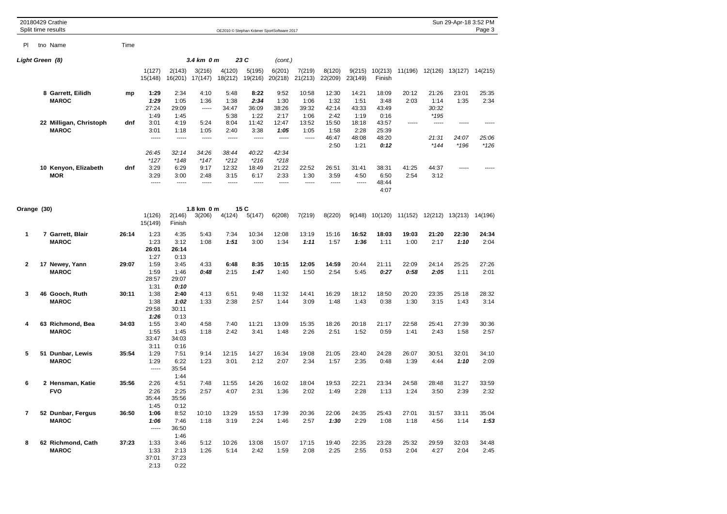|              | 20180429 Crathie                       |       |                                 |                                 |                                 |                                  |                                            |                                  |                                |                                |                                |                                 |               |                                | Sun 29-Apr-18 3:52 PM  |                 |
|--------------|----------------------------------------|-------|---------------------------------|---------------------------------|---------------------------------|----------------------------------|--------------------------------------------|----------------------------------|--------------------------------|--------------------------------|--------------------------------|---------------------------------|---------------|--------------------------------|------------------------|-----------------|
|              | Split time results                     |       |                                 |                                 |                                 |                                  | OE2010 © Stephan Krämer SportSoftware 2017 |                                  |                                |                                |                                |                                 |               |                                |                        | Page 3          |
| PI.          | tno Name                               | Time  |                                 |                                 |                                 |                                  |                                            |                                  |                                |                                |                                |                                 |               |                                |                        |                 |
|              | Light Green (8)                        |       |                                 |                                 | 3.4 km 0 m                      |                                  | 23 C                                       | (cont.)                          |                                |                                |                                |                                 |               |                                |                        |                 |
|              |                                        |       | 1(127)<br>15(148)               | 2(143)<br>16(201)               | 3(216)<br>17(147)               | 4(120)<br>18(212)                | 5(195)<br>19(216)                          | 6(201)<br>20(218)                | 7(219)<br>21(213)              | 8(120)<br>22(209)              | 9(215)<br>23(149)              | 10(213)<br>Finish               | 11(196)       |                                | 12(126) 13(127)        | 14(215)         |
|              | 8 Garrett, Eilidh<br><b>MAROC</b>      | mp    | 1:29<br>1:29<br>27:24<br>1:49   | 2:34<br>1:05<br>29:09<br>1:45   | 4:10<br>1:36<br>1.1.1.1         | 5:48<br>1:38<br>34:47<br>5:38    | 8:22<br>2:34<br>36:09<br>1:22              | 9:52<br>1:30<br>38:26<br>2:17    | 10:58<br>1:06<br>39:32<br>1:06 | 12:30<br>1:32<br>42:14<br>2:42 | 14:21<br>1:51<br>43:33<br>1:19 | 18:09<br>3:48<br>43:49<br>0:16  | 20:12<br>2:03 | 21:26<br>1:14<br>30:32<br>*195 | 23:01<br>1:35          | 25:35<br>2:34   |
|              | 22 Milligan, Christoph<br><b>MAROC</b> | dnf   | 3:01<br>3:01<br>-----<br>26:45  | 4:19<br>1:18<br>-----<br>32:14  | 5:24<br>1:05<br>-----<br>34:26  | 8:04<br>2:40<br>-----<br>38:44   | 11:42<br>3:38<br>-----<br>40:22            | 12:47<br>1:05<br>-----<br>42:34  | 13:52<br>1:05<br>-----         | 15:50<br>1:58<br>46:47<br>2:50 | 18:18<br>2:28<br>48:08<br>1:21 | 43:57<br>25:39<br>48:20<br>0:12 |               | -----<br>21:31<br>$*144$       | -----<br>24:07<br>*196 | 25:06<br>$*126$ |
|              | 10 Kenyon, Elizabeth<br><b>MOR</b>     | dnf   | $*127$<br>3:29<br>3:29<br>----- | $*148$<br>6:29<br>3:00<br>----- | $*147$<br>9:17<br>2:48<br>----- | $*212$<br>12:32<br>3:15<br>----- | $*216$<br>18:49<br>6:17<br>-----           | $*218$<br>21:22<br>2:33<br>----- | 22:52<br>1:30<br>-----         | 26:51<br>3:59<br>-----         | 31:41<br>4:50<br>$- - - -$     | 38:31<br>6:50<br>48:44<br>4:07  | 41:25<br>2:54 | 44:37<br>3:12                  |                        |                 |
| Orange (30)  |                                        |       |                                 |                                 | 1.8 km 0 m                      |                                  | 15 C                                       |                                  |                                |                                |                                |                                 |               |                                |                        |                 |
|              |                                        |       | 1(126)<br>15(149)               | 2(146)<br>Finish                | 3(206)                          | 4(124)                           | 5(147)                                     | 6(208)                           | 7(219)                         | 8(220)                         | 9(148)                         | 10(120)                         | 11(152)       |                                | 12(212) 13(213)        | 14(196)         |
| $\mathbf{1}$ | 7 Garrett, Blair<br><b>MAROC</b>       | 26:14 | 1:23<br>1:23<br>26:01<br>1:27   | 4:35<br>3:12<br>26:14<br>0:13   | 5:43<br>1:08                    | 7:34<br>1:51                     | 10:34<br>3:00                              | 12:08<br>1:34                    | 13:19<br>1:11                  | 15:16<br>1:57                  | 16:52<br>1:36                  | 18:03<br>1:11                   | 19:03<br>1:00 | 21:20<br>2:17                  | 22:30<br>1:10          | 24:34<br>2:04   |
| 2            | 17 Newey, Yann<br><b>MAROC</b>         | 29:07 | 1:59<br>1:59<br>28:57<br>1:31   | 3:45<br>1:46<br>29:07<br>0:10   | 4:33<br>0:48                    | 6:48<br>2:15                     | 8:35<br>1:47                               | 10:15<br>1:40                    | 12:05<br>1:50                  | 14:59<br>2:54                  | 20:44<br>5:45                  | 21:11<br>0:27                   | 22:09<br>0:58 | 24:14<br>2:05                  | 25:25<br>1:11          | 27:26<br>2:01   |
| 3            | 46 Gooch, Ruth<br><b>MAROC</b>         | 30:11 | 1:38<br>1:38<br>29:58<br>1:26   | 2:40<br>1:02<br>30:11<br>0:13   | 4:13<br>1:33                    | 6:51<br>2:38                     | 9:48<br>2:57                               | 11:32<br>1:44                    | 14:41<br>3:09                  | 16:29<br>1:48                  | 18:12<br>1:43                  | 18:50<br>0:38                   | 20:20<br>1:30 | 23:35<br>3:15                  | 25:18<br>1:43          | 28:32<br>3:14   |
| 4            | 63 Richmond, Bea<br><b>MAROC</b>       | 34:03 | 1:55<br>1:55<br>33:47<br>3:11   | 3:40<br>1:45<br>34:03<br>0:16   | 4:58<br>1:18                    | 7:40<br>2:42                     | 11:21<br>3:41                              | 13:09<br>1:48                    | 15:35<br>2:26                  | 18:26<br>2:51                  | 20:18<br>1:52                  | 21:17<br>0:59                   | 22:58<br>1:41 | 25:41<br>2:43                  | 27:39<br>1:58          | 30:36<br>2:57   |
| 5            | 51 Dunbar, Lewis<br><b>MAROC</b>       | 35:54 | 1:29<br>1:29<br>$- - - - -$     | 7:51<br>6:22<br>35:54<br>1:44   | 9:14<br>1:23                    | 12:15<br>3:01                    | 14:27<br>2:12                              | 16:34<br>2:07                    | 19:08<br>2:34                  | 21:05<br>1:57                  | 23:40<br>2:35                  | 24:28<br>0:48                   | 26:07<br>1:39 | 30:51<br>4:44                  | 32:01<br>1:10          | 34:10<br>2:09   |
| 6            | 2 Hensman, Katie<br><b>FVO</b>         | 35:56 | 2:26<br>2:26<br>35:44<br>1:45   | 4:51<br>2:25<br>35:56<br>0:12   | 7:48<br>2:57                    | 11:55<br>4:07                    | 14:26<br>2:31                              | 16:02<br>1:36                    | 18:04<br>2:02                  | 19:53<br>1:49                  | 22:21<br>2:28                  | 23:34<br>1:13                   | 24:58<br>1:24 | 28:48<br>3:50                  | 31:27<br>2:39          | 33:59<br>2:32   |
| 7            | 52 Dunbar, Fergus<br><b>MAROC</b>      | 36:50 | 1:06<br>1:06<br>-----           | 8:52<br>7:46<br>36:50<br>1:46   | 10:10<br>1:18                   | 13:29<br>3:19                    | 15:53<br>2:24                              | 17:39<br>1:46                    | 20:36<br>2:57                  | 22:06<br>1:30                  | 24:35<br>2:29                  | 25:43<br>1:08                   | 27:01<br>1:18 | 31:57<br>4:56                  | 33:11<br>1:14          | 35:04<br>1:53   |
| 8            | 62 Richmond, Cath<br><b>MAROC</b>      | 37:23 | 1:33<br>1:33<br>37:01<br>2:13   | 3:46<br>2:13<br>37:23<br>0:22   | 5:12<br>1:26                    | 10:26<br>5:14                    | 13:08<br>2:42                              | 15:07<br>1:59                    | 17:15<br>2:08                  | 19:40<br>2:25                  | 22:35<br>2:55                  | 23:28<br>0:53                   | 25:32<br>2:04 | 29:59<br>4:27                  | 32:03<br>2:04          | 34:48<br>2:45   |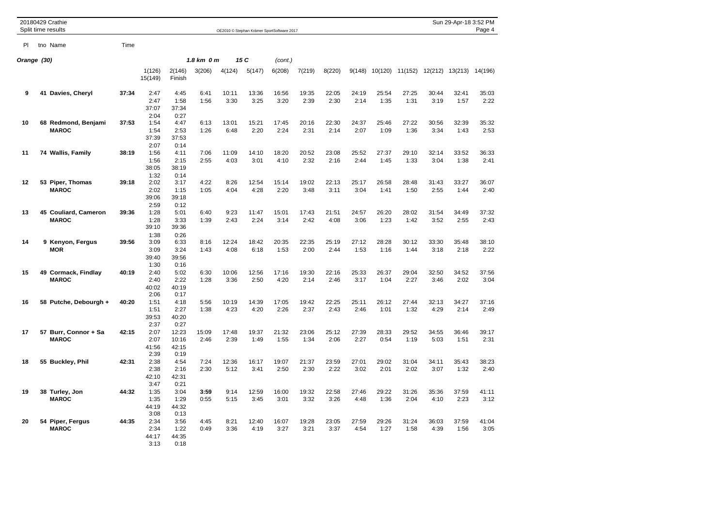|             | 20180429 Crathie<br>Split time results |       |                               |                                 |                   |               |               | OE2010 @ Stephan Krämer SportSoftware 2017 |               |               |               |               |               |               | Sun 29-Apr-18 3:52 PM           | Page 4        |
|-------------|----------------------------------------|-------|-------------------------------|---------------------------------|-------------------|---------------|---------------|--------------------------------------------|---------------|---------------|---------------|---------------|---------------|---------------|---------------------------------|---------------|
| PI          | tno Name                               | Time  |                               |                                 |                   |               |               |                                            |               |               |               |               |               |               |                                 |               |
| Orange (30) |                                        |       |                               |                                 | 1.8 km 0 m<br>15C |               |               | (cont.)                                    |               |               |               |               |               |               |                                 |               |
|             |                                        |       | 1(126)<br>15(149)             | 2(146)<br>Finish                | 3(206)            | 4(124)        | 5(147)        | 6(208)                                     | 7(219)        | 8(220)        | 9(148)        |               |               |               | 10(120) 11(152) 12(212) 13(213) | 14(196)       |
| 9           | 41 Davies, Cheryl                      | 37:34 | 2:47<br>2:47<br>37:07<br>2:04 | 4:45<br>1:58<br>37:34<br>0:27   | 6:41<br>1:56      | 10:11<br>3:30 | 13:36<br>3:25 | 16:56<br>3:20                              | 19:35<br>2:39 | 22:05<br>2:30 | 24:19<br>2:14 | 25:54<br>1:35 | 27:25<br>1:31 | 30:44<br>3:19 | 32:41<br>1:57                   | 35:03<br>2:22 |
| 10          | 68 Redmond, Benjami<br><b>MAROC</b>    | 37:53 | 1:54<br>1:54<br>37:39<br>2:07 | 4:47<br>2:53<br>37:53<br>0:14   | 6:13<br>1:26      | 13:01<br>6:48 | 15:21<br>2:20 | 17:45<br>2:24                              | 20:16<br>2:31 | 22:30<br>2:14 | 24:37<br>2:07 | 25:46<br>1:09 | 27:22<br>1:36 | 30:56<br>3:34 | 32:39<br>1:43                   | 35:32<br>2:53 |
| 11          | 74 Wallis, Family                      | 38:19 | 1:56<br>1:56<br>38:05<br>1:32 | 4:11<br>2:15<br>38:19<br>0:14   | 7:06<br>2:55      | 11:09<br>4:03 | 14:10<br>3:01 | 18:20<br>4:10                              | 20:52<br>2:32 | 23:08<br>2:16 | 25:52<br>2:44 | 27:37<br>1:45 | 29:10<br>1:33 | 32:14<br>3:04 | 33:52<br>1:38                   | 36:33<br>2:41 |
| 12          | 53 Piper, Thomas<br><b>MAROC</b>       | 39:18 | 2:02<br>2:02<br>39:06<br>2:59 | 3:17<br>1:15<br>39:18<br>0:12   | 4:22<br>1:05      | 8:26<br>4:04  | 12:54<br>4:28 | 15:14<br>2:20                              | 19:02<br>3:48 | 22:13<br>3:11 | 25:17<br>3:04 | 26:58<br>1:41 | 28:48<br>1:50 | 31:43<br>2:55 | 33:27<br>1:44                   | 36:07<br>2:40 |
| 13          | 45 Couliard, Cameron<br><b>MAROC</b>   | 39:36 | 1:28<br>1:28<br>39:10<br>1:38 | 5:01<br>3:33<br>39:36<br>0:26   | 6:40<br>1:39      | 9:23<br>2:43  | 11:47<br>2:24 | 15:01<br>3:14                              | 17:43<br>2:42 | 21:51<br>4:08 | 24:57<br>3:06 | 26:20<br>1:23 | 28:02<br>1:42 | 31:54<br>3:52 | 34:49<br>2:55                   | 37:32<br>2:43 |
| 14          | 9 Kenyon, Fergus<br><b>MOR</b>         | 39:56 | 3:09<br>3:09<br>39:40<br>1:30 | 6:33<br>3:24<br>39:56<br>0:16   | 8:16<br>1:43      | 12:24<br>4:08 | 18:42<br>6:18 | 20:35<br>1:53                              | 22:35<br>2:00 | 25:19<br>2:44 | 27:12<br>1:53 | 28:28<br>1:16 | 30:12<br>1:44 | 33:30<br>3:18 | 35:48<br>2:18                   | 38:10<br>2:22 |
| 15          | 49 Cormack, Findlay<br><b>MAROC</b>    | 40:19 | 2:40<br>2:40<br>40:02<br>2:06 | 5:02<br>2:22<br>40:19<br>0:17   | 6:30<br>1:28      | 10:06<br>3:36 | 12:56<br>2:50 | 17:16<br>4:20                              | 19:30<br>2:14 | 22:16<br>2:46 | 25:33<br>3:17 | 26:37<br>1:04 | 29:04<br>2:27 | 32:50<br>3:46 | 34:52<br>2:02                   | 37:56<br>3:04 |
| 16          | 58 Putche, Debourgh +                  | 40:20 | 1:51<br>1:51<br>39:53<br>2:37 | 4:18<br>2:27<br>40:20<br>0:27   | 5:56<br>1:38      | 10:19<br>4:23 | 14:39<br>4:20 | 17:05<br>2:26                              | 19:42<br>2:37 | 22:25<br>2:43 | 25:11<br>2:46 | 26:12<br>1:01 | 27:44<br>1:32 | 32:13<br>4:29 | 34:27<br>2:14                   | 37:16<br>2:49 |
| 17          | 57 Burr, Connor + Sa<br><b>MAROC</b>   | 42:15 | 2:07<br>2:07<br>41:56<br>2:39 | 12:23<br>10:16<br>42:15<br>0:19 | 15:09<br>2:46     | 17:48<br>2:39 | 19:37<br>1:49 | 21:32<br>1:55                              | 23:06<br>1:34 | 25:12<br>2:06 | 27:39<br>2:27 | 28:33<br>0:54 | 29:52<br>1:19 | 34:55<br>5:03 | 36:46<br>1:51                   | 39:17<br>2:31 |
| 18          | 55 Buckley, Phil                       | 42:31 | 2:38<br>2:38<br>42:10<br>3:47 | 4:54<br>2:16<br>42:31<br>0:21   | 7:24<br>2:30      | 12:36<br>5:12 | 16:17<br>3:41 | 19:07<br>2:50                              | 21:37<br>2:30 | 23:59<br>2:22 | 27:01<br>3:02 | 29:02<br>2:01 | 31:04<br>2:02 | 34:11<br>3:07 | 35:43<br>1:32                   | 38:23<br>2:40 |
| 19          | 38 Turley, Jon<br><b>MAROC</b>         | 44:32 | 1:35<br>1:35<br>44:19<br>3:08 | 3:04<br>1:29<br>44:32<br>0:13   | 3:59<br>0:55      | 9:14<br>5:15  | 12:59<br>3:45 | 16:00<br>3:01                              | 19:32<br>3:32 | 22:58<br>3:26 | 27:46<br>4:48 | 29:22<br>1:36 | 31:26<br>2:04 | 35:36<br>4:10 | 37:59<br>2:23                   | 41:11<br>3:12 |
| 20          | 54 Piper, Fergus<br><b>MAROC</b>       | 44:35 | 2:34<br>2:34<br>44:17<br>3:13 | 3:56<br>1:22<br>44:35<br>0:18   | 4:45<br>0:49      | 8:21<br>3:36  | 12:40<br>4:19 | 16:07<br>3:27                              | 19:28<br>3:21 | 23:05<br>3:37 | 27:59<br>4:54 | 29:26<br>1:27 | 31:24<br>1:58 | 36:03<br>4:39 | 37:59<br>1:56                   | 41:04<br>3:05 |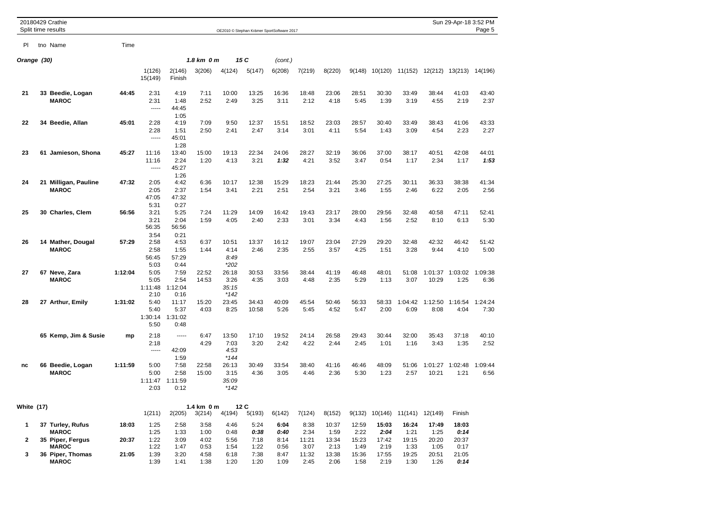|                   | 20180429 Crathie<br>Split time results |         |                                 |                                  |                                |                                  |                | OE2010 © Stephan Krämer SportSoftware 2017 |               |               |               |               |                 |                  | Sun 29-Apr-18 3:52 PM   | Page 5          |
|-------------------|----------------------------------------|---------|---------------------------------|----------------------------------|--------------------------------|----------------------------------|----------------|--------------------------------------------|---------------|---------------|---------------|---------------|-----------------|------------------|-------------------------|-----------------|
| PI                | tno Name                               | Time    |                                 |                                  |                                |                                  |                |                                            |               |               |               |               |                 |                  |                         |                 |
|                   | Orange (30)                            |         |                                 |                                  |                                | 1.8 km 0 m<br>15 C               |                | (cont.)                                    |               |               |               |               |                 |                  |                         |                 |
|                   |                                        |         | 1(126)<br>15(149)               | 2(146)<br>Finish                 | 3(206)                         | 4(124)                           | 5(147)         | 6(208)                                     | 7(219)        | 8(220)        | 9(148)        | 10(120)       | 11(152)         |                  | 12(212) 13(213) 14(196) |                 |
| 21                | 33 Beedie, Logan<br><b>MAROC</b>       | 44:45   | 2:31<br>2:31<br>$---$           | 4:19<br>1:48<br>44:45<br>1:05    | 7:11<br>2:52                   | 10:00<br>2:49                    | 13:25<br>3:25  | 16:36<br>3:11                              | 18:48<br>2:12 | 23:06<br>4:18 | 28:51<br>5:45 | 30:30<br>1:39 | 33:49<br>3:19   | 38:44<br>4:55    | 41:03<br>2:19           | 43:40<br>2:37   |
| 22                | 34 Beedie, Allan                       | 45:01   | 2:28<br>2:28<br>-----           | 4:19<br>1:51<br>45:01<br>1:28    | 7:09<br>2:50                   | 9:50<br>2:41                     | 12:37<br>2:47  | 15:51<br>3:14                              | 18:52<br>3:01 | 23:03<br>4:11 | 28:57<br>5:54 | 30:40<br>1:43 | 33:49<br>3:09   | 38:43<br>4:54    | 41:06<br>2:23           | 43:33<br>2:27   |
| 23                | 61 Jamieson, Shona                     | 45:27   | 11:16<br>11:16<br>-----         | 13:40<br>2:24<br>45:27<br>1:26   | 15:00<br>1:20                  | 19:13<br>4:13                    | 22:34<br>3:21  | 24:06<br>1:32                              | 28:27<br>4:21 | 32:19<br>3:52 | 36:06<br>3:47 | 37:00<br>0:54 | 38:17<br>1:17   | 40:51<br>2:34    | 42:08<br>1:17           | 44:01<br>1:53   |
| 24                | 21 Milligan, Pauline<br><b>MAROC</b>   | 47:32   | 2:05<br>2:05<br>47:05<br>5:31   | 4:42<br>2:37<br>47:32<br>0:27    | 6:36<br>1:54                   | 10:17<br>3:41                    | 12:38<br>2:21  | 15:29<br>2:51                              | 18:23<br>2:54 | 21:44<br>3:21 | 25:30<br>3:46 | 27:25<br>1:55 | 30:11<br>2:46   | 36:33<br>6:22    | 38:38<br>2:05           | 41:34<br>2:56   |
| 25                | 30 Charles, Clem                       | 56:56   | 3:21<br>3:21<br>56:35<br>3:54   | 5:25<br>2:04<br>56:56<br>0:21    | 7:24<br>1:59                   | 11:29<br>4:05                    | 14:09<br>2:40  | 16:42<br>2:33                              | 19:43<br>3:01 | 23:17<br>3:34 | 28:00<br>4:43 | 29:56<br>1:56 | 32:48<br>2:52   | 40:58<br>8:10    | 47:11<br>6:13           | 52:41<br>5:30   |
| 26                | 14 Mather, Dougal<br><b>MAROC</b>      | 57:29   | 2:58<br>2:58<br>56:45<br>5:03   | 4:53<br>1:55<br>57:29<br>0:44    | 6:37<br>1:44                   | 10:51<br>4:14<br>8:49<br>$*202$  | 13:37<br>2:46  | 16:12<br>2:35                              | 19:07<br>2:55 | 23:04<br>3:57 | 27:29<br>4:25 | 29:20<br>1:51 | 32:48<br>3:28   | 42:32<br>9:44    | 46:42<br>4:10           | 51:42<br>5:00   |
| 27                | 67 Neve, Zara<br><b>MAROC</b>          | 1:12:04 | 5:05<br>5:05<br>1:11:48<br>2:10 | 7:59<br>2:54<br>1:12:04<br>0:16  | 22:52<br>14:53                 | 26:18<br>3:26<br>35:15<br>$*142$ | 30:53<br>4:35  | 33:56<br>3:03                              | 38:44<br>4:48 | 41:19<br>2:35 | 46:48<br>5:29 | 48:01<br>1:13 | 51:08<br>3:07   | 1:01:37<br>10:29 | 1:03:02<br>1:25         | 1:09:38<br>6:36 |
| 28                | 27 Arthur, Emily                       | 1:31:02 | 5:40<br>5:40<br>1:30:14<br>5:50 | 11:17<br>5:37<br>1:31:02<br>0:48 | 15:20<br>4:03                  | 23:45<br>8:25                    | 34:43<br>10:58 | 40:09<br>5:26                              | 45:54<br>5:45 | 50:46<br>4:52 | 56:33<br>5:47 | 58:33<br>2:00 | 1:04:42<br>6:09 | 1:12:50<br>8:08  | 1:16:54<br>4:04         | 1:24:24<br>7:30 |
|                   | 65 Kemp, Jim & Susie                   | mp      | 2:18<br>2:18<br>-----           | -----<br>42:09<br>1:59           | 6:47<br>4:29                   | 13:50<br>7:03<br>4:53<br>$*144$  | 17:10<br>3:20  | 19:52<br>2:42                              | 24:14<br>4:22 | 26:58<br>2:44 | 29:43<br>2:45 | 30:44<br>1:01 | 32:00<br>1:16   | 35:43<br>3:43    | 37:18<br>1:35           | 40:10<br>2:52   |
| nc                | 66 Beedie, Logan<br><b>MAROC</b>       | 1:11:59 | 5:00<br>5:00<br>1:11:47<br>2:03 | 7:58<br>2:58<br>1:11:59<br>0:12  | 22:58<br>15:00                 | 26:13<br>3:15<br>35:09<br>$*142$ | 30:49<br>4:36  | 33:54<br>3:05                              | 38:40<br>4:46 | 41:16<br>2:36 | 46:46<br>5:30 | 48:09<br>1:23 | 51:06<br>2:57   | 1:01:27<br>10:21 | 1:02:48<br>1:21         | 1:09:44<br>6:56 |
| <b>White (17)</b> |                                        |         | 1(211)                          | 2(205)                           | $1.4 \text{ km}$ 0 m<br>3(214) | 4(194)                           | 12C<br>5(193)  | 6(142)                                     | 7(124)        | 8(152)        | 9(132)        | 10(146)       | 11(141)         | 12(149)          | Finish                  |                 |
| 1                 | 37 Turley, Rufus<br><b>MAROC</b>       | 18:03   | 1:25<br>1:25                    | 2:58<br>1:33                     | 3:58<br>1:00                   | 4:46<br>0:48                     | 5:24<br>0:38   | 6:04<br>0:40                               | 8:38<br>2:34  | 10:37<br>1:59 | 12:59<br>2:22 | 15:03<br>2:04 | 16:24<br>1:21   | 17:49<br>1:25    | 18:03<br>0:14           |                 |
| $\mathbf{2}$      | 35 Piper, Fergus<br><b>MAROC</b>       | 20:37   | 1:22<br>1:22                    | 3:09<br>1:47                     | 4:02<br>0:53                   | 5:56<br>1:54                     | 7:18<br>1:22   | 8:14<br>0:56                               | 11:21<br>3:07 | 13:34<br>2:13 | 15:23<br>1:49 | 17:42<br>2:19 | 19:15<br>1:33   | 20:20<br>1:05    | 20:37<br>0:17           |                 |
| 3                 | 36 Piper, Thomas<br><b>MAROC</b>       | 21:05   | 1:39<br>1:39                    | 3:20<br>1:41                     | 4:58<br>1:38                   | 6:18<br>1:20                     | 7:38<br>1:20   | 8:47<br>1:09                               | 11:32<br>2:45 | 13:38<br>2:06 | 15:36<br>1:58 | 17:55<br>2:19 | 19:25<br>1:30   | 20:51<br>1:26    | 21:05<br>0:14           |                 |